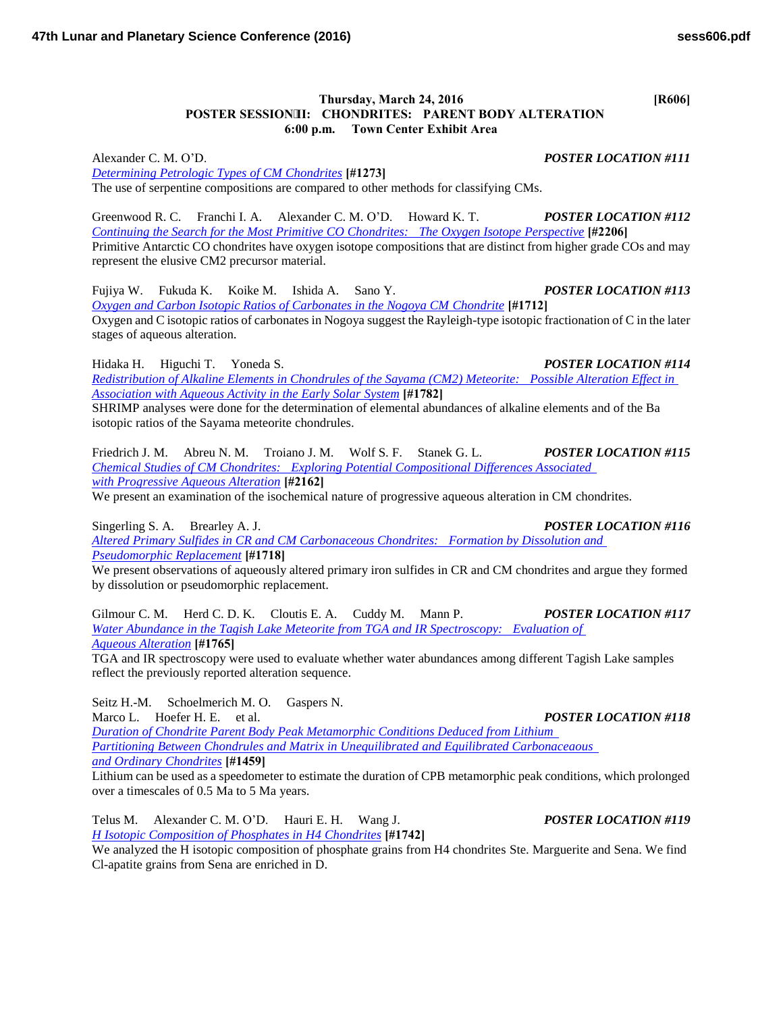## **Thursday, March 24, 2016 [R606] POSTER SESSIONII: CHONDRITES: PARENT BODY ALTERATION 6:00 p.m. Town Center Exhibit Area**

Alexander C. M. O'D. *POSTER LOCATION #111 [Determining Petrologic Types of CM Chondrites](http://www.hou.usra.edu/meetings/lpsc2016/pdf/1273.pdf)* **[#1273]** The use of serpentine compositions are compared to other methods for classifying CMs.

Greenwood R. C. Franchi I. A. Alexander C. M. O'D. Howard K. T. *POSTER LOCATION #112 [Continuing the Search for the Most Primitive CO Chondrites: The Oxygen Isotope Perspective](http://www.hou.usra.edu/meetings/lpsc2016/pdf/2206.pdf)* **[#2206]** Primitive Antarctic CO chondrites have oxygen isotope compositions that are distinct from higher grade COs and may represent the elusive CM2 precursor material.

Fujiya W. Fukuda K. Koike M. Ishida A. Sano Y. *POSTER LOCATION #113 [Oxygen and Carbon Isotopic Ratios of Carbonates in the Nogoya CM Chondrite](http://www.hou.usra.edu/meetings/lpsc2016/pdf/1712.pdf)* **[#1712]** Oxygen and C isotopic ratios of carbonates in Nogoya suggest the Rayleigh-type isotopic fractionation of C in the later stages of aqueous alteration.

Hidaka H. Higuchi T. Yoneda S. *POSTER LOCATION #114 [Redistribution of Alkaline Elements in Chondrules of the Sayama \(CM2\) Meteorite: Possible Alteration Effect in](http://www.hou.usra.edu/meetings/lpsc2016/pdf/1782.pdf)  [Association with Aqueous Activity in the Early Solar System](http://www.hou.usra.edu/meetings/lpsc2016/pdf/1782.pdf)* **[#1782]**

SHRIMP analyses were done for the determination of elemental abundances of alkaline elements and of the Ba isotopic ratios of the Sayama meteorite chondrules.

Friedrich J. M. Abreu N. M. Troiano J. M. Wolf S. F. Stanek G. L. *POSTER LOCATION #115 [Chemical Studies of CM Chondrites: Exploring Potential Compositional Differences Associated](http://www.hou.usra.edu/meetings/lpsc2016/pdf/2162.pdf)  [with Progressive Aqueous Alteration](http://www.hou.usra.edu/meetings/lpsc2016/pdf/2162.pdf)* **[#2162]**

We present an examination of the isochemical nature of progressive aqueous alteration in CM chondrites.

Singerling S. A. Brearley A. J. *POSTER LOCATION #116 [Altered Primary Sulfides in CR and CM Carbonaceous Chondrites: Formation by Dissolution and](http://www.hou.usra.edu/meetings/lpsc2016/pdf/1718.pdf)  [Pseudomorphic Replacement](http://www.hou.usra.edu/meetings/lpsc2016/pdf/1718.pdf)* **[#1718]**

We present observations of aqueously altered primary iron sulfides in CR and CM chondrites and argue they formed by dissolution or pseudomorphic replacement.

Gilmour C. M. Herd C. D. K. Cloutis E. A. Cuddy M. Mann P. *POSTER LOCATION #117 [Water Abundance in the Tagish Lake Meteorite from TGA and IR Spectroscopy: Evaluation of](http://www.hou.usra.edu/meetings/lpsc2016/pdf/1765.pdf)  [Aqueous Alteration](http://www.hou.usra.edu/meetings/lpsc2016/pdf/1765.pdf)* **[#1765]**

TGA and IR spectroscopy were used to evaluate whether water abundances among different Tagish Lake samples reflect the previously reported alteration sequence.

Seitz H.-M. Schoelmerich M. O. Gaspers N. Marco L. Hoefer H. E. et al. *POSTER LOCATION #118 [Duration of Chondrite Parent Body Peak Metamorphic Conditions Deduced from Lithium](http://www.hou.usra.edu/meetings/lpsc2016/pdf/1459.pdf)  [Partitioning Between Chondrules and Matrix in Unequilibrated and Equilibrated Carbonaceaous](http://www.hou.usra.edu/meetings/lpsc2016/pdf/1459.pdf)  [and Ordinary Chondrites](http://www.hou.usra.edu/meetings/lpsc2016/pdf/1459.pdf)* **[#1459]**

Lithium can be used as a speedometer to estimate the duration of CPB metamorphic peak conditions, which prolonged over a timescales of 0.5 Ma to 5 Ma years.

Telus M. Alexander C. M. O'D. Hauri E. H. Wang J. *POSTER LOCATION #119 [H Isotopic Composition of Phosphates in H4 Chondrites](http://www.hou.usra.edu/meetings/lpsc2016/pdf/1742.pdf)* **[#1742]** We analyzed the H isotopic composition of phosphate grains from H4 chondrites Ste. Marguerite and Sena. We find

Cl-apatite grains from Sena are enriched in D.